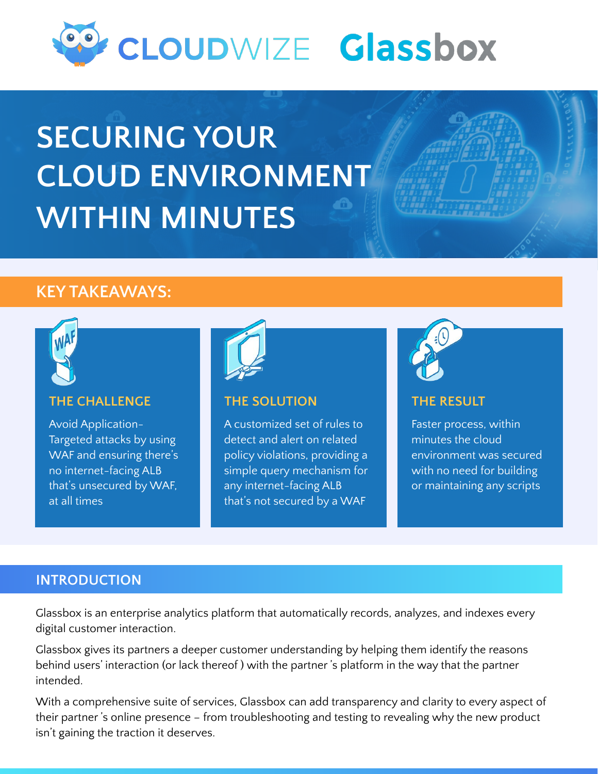

# **SECURING YOUR CLOUD ENVIRONMENT WITHIN MINUTES**

# **KEY TAKEAWAYS:**



#### **THE CHALLENGE**

Avoid Application-Targeted attacks by using WAF and ensuring there's no internet-facing ALB that's unsecured by WAF, at all times



#### **THE SOLUTION**

A customized set of rules to detect and alert on related policy violations, providing a simple query mechanism for any internet-facing ALB that's not secured by a WAF



#### **THE RESULT**

Faster process, within minutes the cloud environment was secured with no need for building or maintaining any scripts

# **INTRODUCTION**

Glassbox is an enterprise analytics platform that automatically records, analyzes, and indexes every digital customer interaction.

Glassbox gives its partners a deeper customer understanding by helping them identify the reasons behind users' interaction (or lack thereof ) with the partner 's platform in the way that the partner intended.

With a comprehensive suite of services, Glassbox can add transparency and clarity to every aspect of their partner 's online presence – from troubleshooting and testing to revealing why the new product isn't gaining the traction it deserves.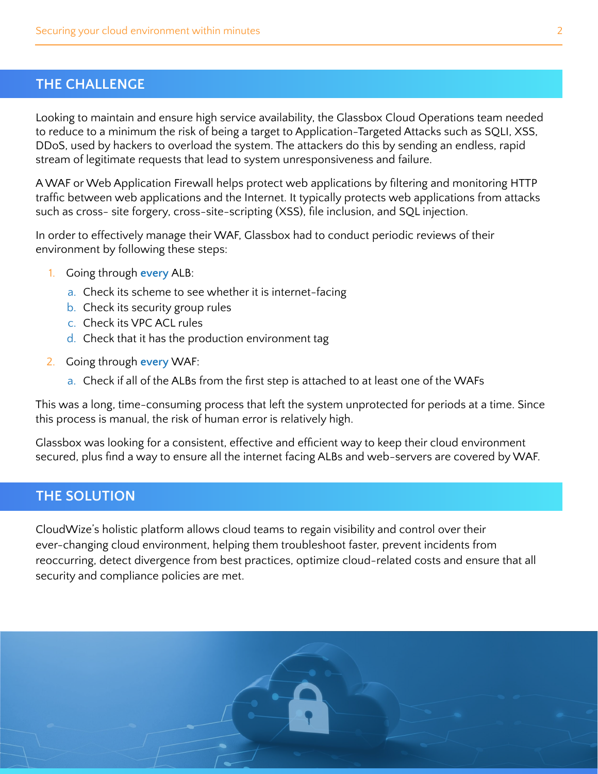## **THE CHALLENGE**

Looking to maintain and ensure high service availability, the Glassbox Cloud Operations team needed to reduce to a minimum the risk of being a target to Application-Targeted Attacks such as SQLI, XSS, DDoS, used by hackers to overload the system. The attackers do this by sending an endless, rapid stream of legitimate requests that lead to system unresponsiveness and failure.

A WAF or Web Application Firewall helps protect web applications by filtering and monitoring HTTP traffic between web applications and the Internet. It typically protects web applications from attacks such as cross- site forgery, cross-site-scripting (XSS), file inclusion, and SQL injection.

In order to effectively manage their WAF, Glassbox had to conduct periodic reviews of their environment by following these steps:

- 1. Going through **every** ALB:
	- a. Check its scheme to see whether it is internet-facing
	- b. Check its security group rules
	- c. Check its VPC ACL rules
	- d. Check that it has the production environment tag
- 2. Going through **every** WAF:
	- a. Check if all of the ALBs from the first step is attached to at least one of the WAFs

This was a long, time-consuming process that left the system unprotected for periods at a time. Since this process is manual, the risk of human error is relatively high.

Glassbox was looking for a consistent, effective and efficient way to keep their cloud environment secured, plus find a way to ensure all the internet facing ALBs and web-servers are covered by WAF.

#### **THE SOLUTION**

CloudWize's holistic platform allows cloud teams to regain visibility and control over their ever-changing cloud environment, helping them troubleshoot faster, prevent incidents from reoccurring, detect divergence from best practices, optimize cloud-related costs and ensure that all security and compliance policies are met.

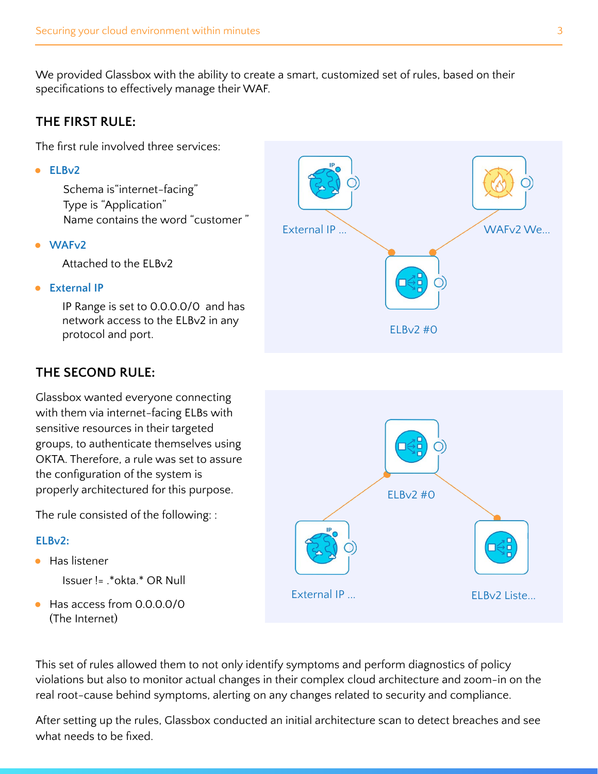We provided Glassbox with the ability to create a smart, customized set of rules, based on their specifications to effectively manage their WAF.

## **THE FIRST RULE:**

The first rule involved three services:

**● ELBv2**

Schema is"internet-facing" Type is "Application" Name contains the word "customer "

● **WAFv2** 

Attached to the ELBv2

**External IP** 

IP Range is set to 0.0.0.0/0 and has network access to the ELBv2 in any protocol and port.

# **THE SECOND RULE:**

Glassbox wanted everyone connecting with them via internet-facing ELBs with sensitive resources in their targeted groups, to authenticate themselves using OKTA. Therefore, a rule was set to assure the configuration of the system is properly architectured for this purpose.

The rule consisted of the following: :

#### **ELBv2:**

● Has listener

Issuer != .\*okta.\* OR Null

● Has access from 0.0.0.0/0 (The Internet)





This set of rules allowed them to not only identify symptoms and perform diagnostics of policy violations but also to monitor actual changes in their complex cloud architecture and zoom-in on the real root-cause behind symptoms, alerting on any changes related to security and compliance.

After setting up the rules, Glassbox conducted an initial architecture scan to detect breaches and see what needs to be fixed.